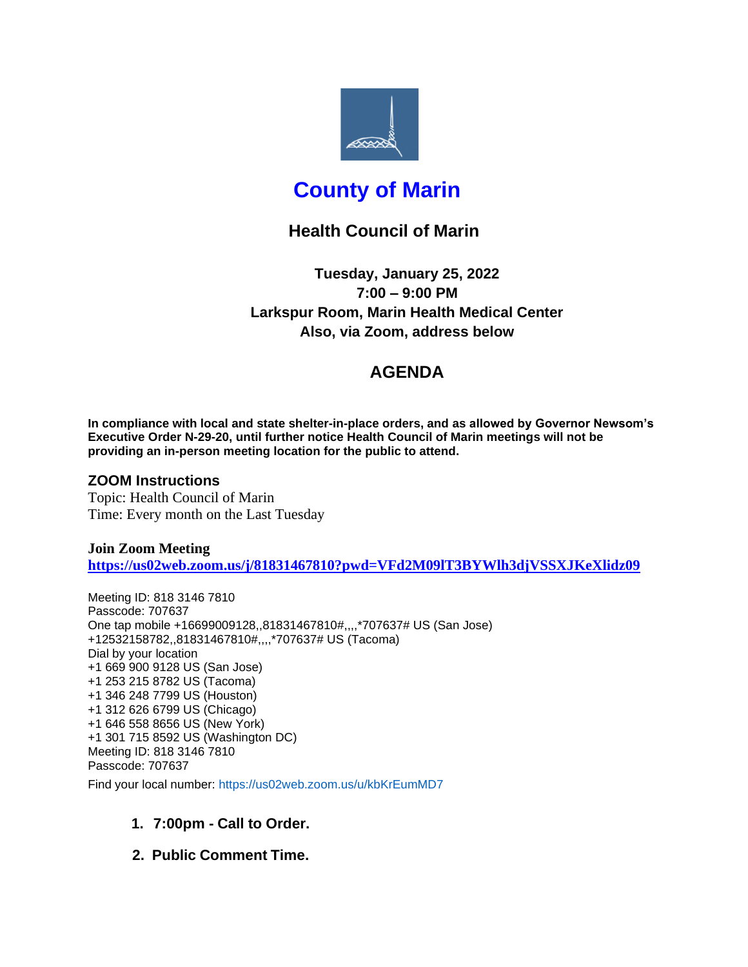

# **County of Marin**

# **Health Council of Marin**

**Tuesday, January 25, 2022 7:00 – 9:00 PM Larkspur Room, Marin Health Medical Center Also, via Zoom, address below**

# **AGENDA**

**In compliance with local and state shelter-in-place orders, and as allowed by Governor Newsom's Executive Order N-29-20, until further notice Health Council of Marin meetings will not be providing an in-person meeting location for the public to attend.**

### **ZOOM Instructions**

Topic: Health Council of Marin Time: Every month on the Last Tuesday

**Join Zoom Meeting <https://us02web.zoom.us/j/81831467810?pwd=VFd2M09lT3BYWlh3djVSSXJKeXlidz09>**

Meeting ID: 818 3146 7810 Passcode: 707637 One tap mobile +16699009128,,81831467810#,,,,\*707637# US (San Jose) +12532158782,,81831467810#,,,,\*707637# US (Tacoma) Dial by your location +1 669 900 9128 US (San Jose) +1 253 215 8782 US (Tacoma) +1 346 248 7799 US (Houston) +1 312 626 6799 US (Chicago) +1 646 558 8656 US (New York) +1 301 715 8592 US (Washington DC) Meeting ID: 818 3146 7810 Passcode: 707637 Find your local number: https://us02web.zoom.us/u/kbKrEumMD7

### **1. 7:00pm - Call to Order.**

**2. Public Comment Time.**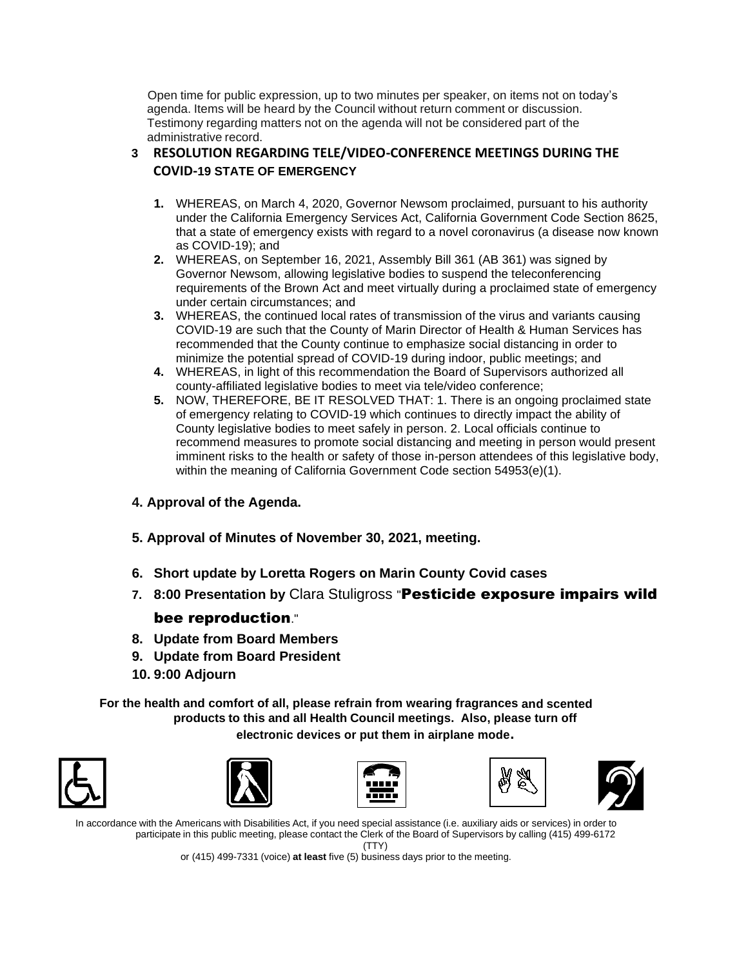Open time for public expression, up to two minutes per speaker, on items not on today's agenda. Items will be heard by the Council without return comment or discussion. Testimony regarding matters not on the agenda will not be considered part of the administrative record.

#### **3 RESOLUTION REGARDING TELE/VIDEO-CONFERENCE MEETINGS DURING THE COVID-19 STATE OF EMERGENCY**

- **1.** WHEREAS, on March 4, 2020, Governor Newsom proclaimed, pursuant to his authority under the California Emergency Services Act, California Government Code Section 8625, that a state of emergency exists with regard to a novel coronavirus (a disease now known as COVID-19); and
- **2.** WHEREAS, on September 16, 2021, Assembly Bill 361 (AB 361) was signed by Governor Newsom, allowing legislative bodies to suspend the teleconferencing requirements of the Brown Act and meet virtually during a proclaimed state of emergency under certain circumstances; and
- **3.** WHEREAS, the continued local rates of transmission of the virus and variants causing COVID-19 are such that the County of Marin Director of Health & Human Services has recommended that the County continue to emphasize social distancing in order to minimize the potential spread of COVID-19 during indoor, public meetings; and
- **4.** WHEREAS, in light of this recommendation the Board of Supervisors authorized all county-affiliated legislative bodies to meet via tele/video conference;
- **5.** NOW, THEREFORE, BE IT RESOLVED THAT: 1. There is an ongoing proclaimed state of emergency relating to COVID-19 which continues to directly impact the ability of County legislative bodies to meet safely in person. 2. Local officials continue to recommend measures to promote social distancing and meeting in person would present imminent risks to the health or safety of those in-person attendees of this legislative body, within the meaning of California Government Code section 54953(e)(1).

### **4. Approval of the Agenda.**

- **5. Approval of Minutes of November 30, 2021, meeting.**
- **6. Short update by Loretta Rogers on Marin County Covid cases**
- **7. 8:00 Presentation by** Clara Stuligross "Pesticide exposure impairs wild bee reproduction."
- **8. Update from Board Members**
- **9. Update from Board President**
- **10. 9:00 Adjourn**

**For the health and comfort of all, please refrain from wearing fragrances and scented products to this and all Health Council meetings. Also, please turn off** 

**electronic devices or put them in airplane mode.**











In accordance with the Americans with Disabilities Act, if you need special assistance (i.e. auxiliary aids or services) in order to participate in this public meeting, please contact the Clerk of the Board of Supervisors by calling (415) 499-6172 (TTY)

or (415) 499-7331 (voice) **at least** five (5) business days prior to the meeting.